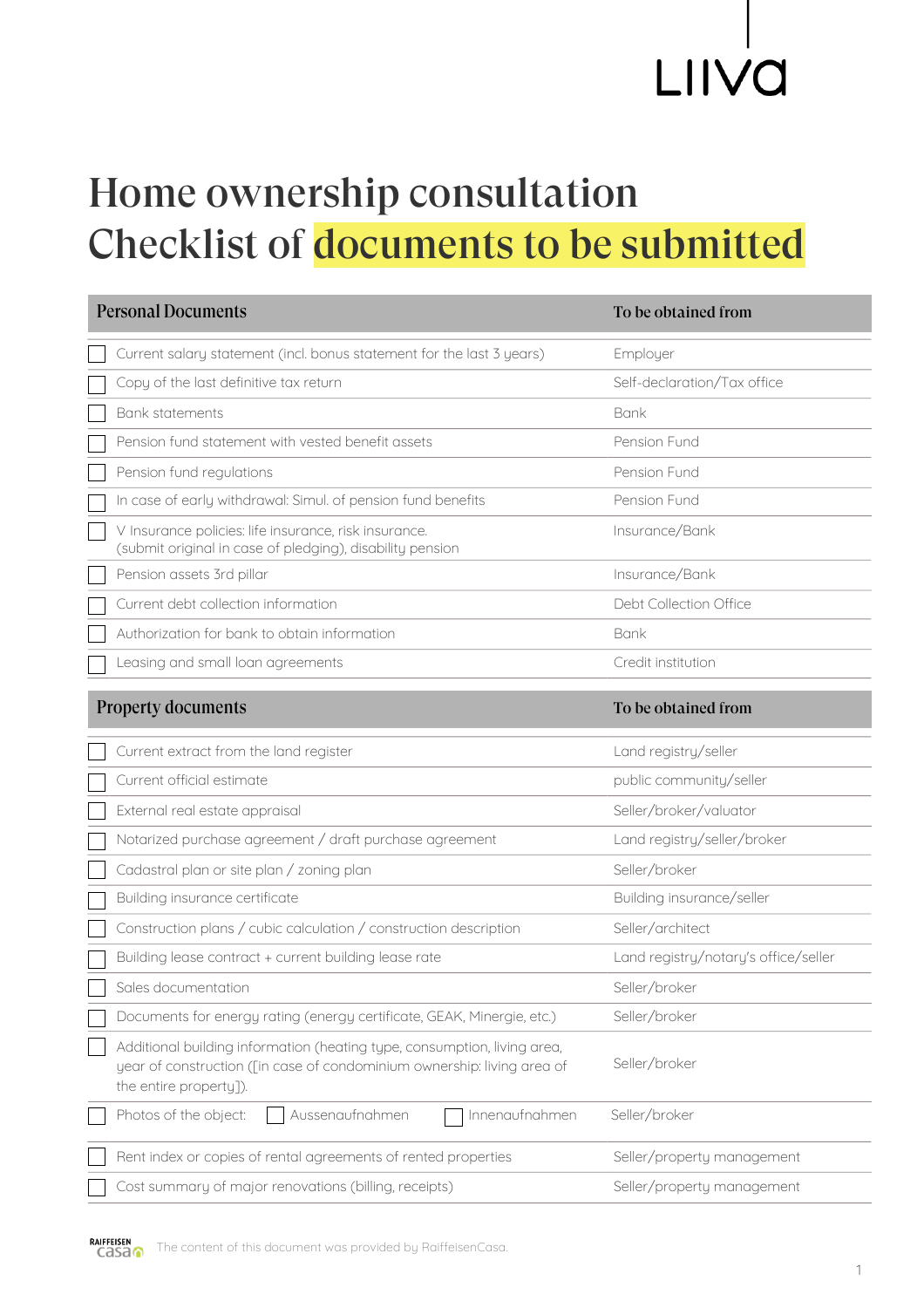## LIIVA

## Home ownership consultation Checklist of documents to be submitted

| <b>Personal Documents</b>                                                                                                                                                     | To be obtained from                  |
|-------------------------------------------------------------------------------------------------------------------------------------------------------------------------------|--------------------------------------|
| Current salary statement (incl. bonus statement for the last 3 years)                                                                                                         | Employer                             |
| Copy of the last definitive tax return                                                                                                                                        | Self-declaration/Tax office          |
| <b>Bank statements</b>                                                                                                                                                        | Bank                                 |
| Pension fund statement with vested benefit assets                                                                                                                             | Pension Fund                         |
| Pension fund regulations                                                                                                                                                      | Pension Fund                         |
| In case of early withdrawal: Simul. of pension fund benefits                                                                                                                  | Pension Fund                         |
| V Insurance policies: life insurance, risk insurance.<br>(submit original in case of pledging), disability pension                                                            | Insurance/Bank                       |
| Pension assets 3rd pillar                                                                                                                                                     | Insurance/Bank                       |
| Current debt collection information                                                                                                                                           | Debt Collection Office               |
| Authorization for bank to obtain information                                                                                                                                  | <b>Bank</b>                          |
| Leasing and small loan agreements                                                                                                                                             | Credit institution                   |
| <b>Property documents</b>                                                                                                                                                     | To be obtained from                  |
| Current extract from the land register                                                                                                                                        | Land registry/seller                 |
| Current official estimate                                                                                                                                                     | public community/seller              |
| External real estate appraisal                                                                                                                                                | Seller/broker/valuator               |
| Notarized purchase agreement / draft purchase agreement                                                                                                                       | Land registry/seller/broker          |
| Cadastral plan or site plan / zoning plan                                                                                                                                     | Seller/broker                        |
| Building insurance certificate                                                                                                                                                | Building insurance/seller            |
| Construction plans / cubic calculation / construction description                                                                                                             | Seller/architect                     |
| Building lease contract + current building lease rate                                                                                                                         | Land registry/notary's office/seller |
| Sales documentation                                                                                                                                                           | Seller/broker                        |
| Documents for energy rating (energy certificate, GEAK, Minergie, etc.)                                                                                                        | Seller/broker                        |
| Additional building information (heating type, consumption, living area,<br>year of construction ([in case of condominium ownership: living area of<br>the entire property]). | Seller/broker                        |
| Photos of the object:<br>Aussenaufnahmen<br>Innenaufnahmen                                                                                                                    | Seller/broker                        |
| Rent index or copies of rental agreements of rented properties                                                                                                                | Seller/property management           |
| Cost summary of major renovations (billing, receipts)                                                                                                                         | Seller/property management           |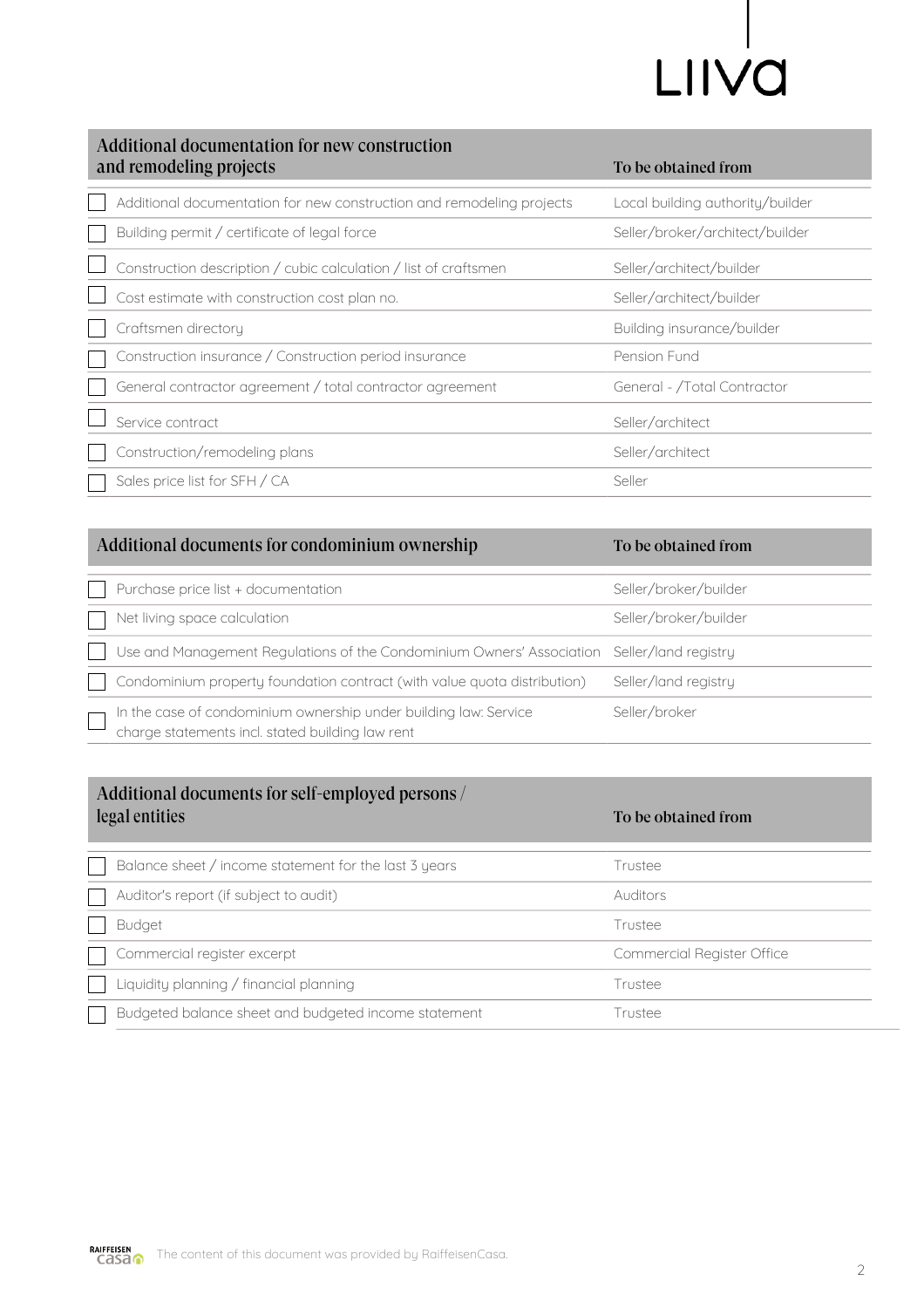## LIIVA

| Additional documentation for new construction<br>and remodeling projects | To be obtained from              |
|--------------------------------------------------------------------------|----------------------------------|
| Additional documentation for new construction and remodeling projects    | Local building authority/builder |
| Building permit / certificate of legal force                             | Seller/broker/architect/builder  |
| Construction description / cubic calculation / list of craftsmen         | Seller/architect/builder         |
| Cost estimate with construction cost plan no.                            | Seller/architect/builder         |
| Craftsmen directory                                                      | Building insurance/builder       |
| Construction insurance / Construction period insurance                   | Pension Fund                     |
| General contractor agreement / total contractor agreement                | General - /Total Contractor      |
| Service contract                                                         | Seller/architect                 |
| Construction/remodeling plans                                            | Seller/architect                 |
| Sales price list for SFH / CA                                            | Seller                           |

| Additional documents for condominium ownership                                                                       | To be obtained from   |
|----------------------------------------------------------------------------------------------------------------------|-----------------------|
| Purchase price list + documentation                                                                                  | Seller/broker/builder |
| Net living space calculation                                                                                         | Seller/broker/builder |
| Use and Management Regulations of the Condominium Owners' Association Seller/land registry                           |                       |
| Condominium property foundation contract (with value quota distribution)                                             | Seller/land registry  |
| In the case of condominium ownership under building law: Service<br>charge statements incl. stated building law rent | Seller/broker         |

### Additional documents for self-employed persons / legal entities To be obtained from

| $-$                                                   |                            |
|-------------------------------------------------------|----------------------------|
| Balance sheet / income statement for the last 3 years | Trustee                    |
| Auditor's report (if subject to audit)                | Auditors                   |
| <b>Budget</b>                                         | <b>Trustee</b>             |
| Commercial register excerpt                           | Commercial Register Office |
| Liquidity planning / financial planning               | Trustee                    |
| Budgeted balance sheet and budgeted income statement  | Trustee                    |